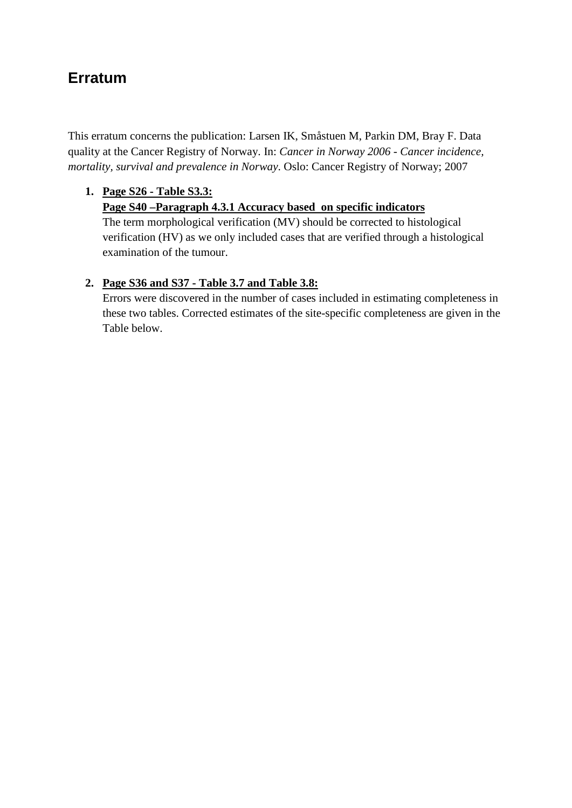## **Erratum**

This erratum concerns the publication: Larsen IK, Småstuen M, Parkin DM, Bray F. Data quality at the Cancer Registry of Norway. In: *Cancer in Norway 2006 - Cancer incidence, mortality, survival and prevalence in Norway*. Oslo: Cancer Registry of Norway; 2007

## **1. Page S26 - Table S3.3: Page S40 –Paragraph 4.3.1 Accuracy based on specific indicators**

The term morphological verification (MV) should be corrected to histological verification (HV) as we only included cases that are verified through a histological examination of the tumour.

## **2. Page S36 and S37 - Table 3.7 and Table 3.8:**

Errors were discovered in the number of cases included in estimating completeness in these two tables. Corrected estimates of the site-specific completeness are given in the Table below.